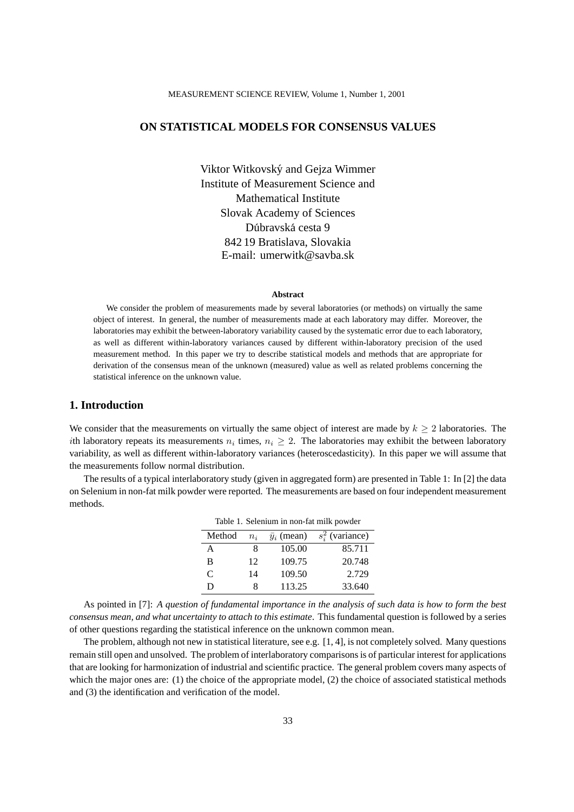# **ON STATISTICAL MODELS FOR CONSENSUS VALUES**

Viktor Witkovsky and Gejza Wimmer ´ Institute of Measurement Science and Mathematical Institute Slovak Academy of Sciences Dúbravská cesta 9 842 19 Bratislava, Slovakia E-mail: umerwitk@savba.sk

#### **Abstract**

We consider the problem of measurements made by several laboratories (or methods) on virtually the same object of interest. In general, the number of measurements made at each laboratory may differ. Moreover, the laboratories may exhibit the between-laboratory variability caused by the systematic error due to each laboratory, as well as different within-laboratory variances caused by different within-laboratory precision of the used measurement method. In this paper we try to describe statistical models and methods that are appropriate for derivation of the consensus mean of the unknown (measured) value as well as related problems concerning the statistical inference on the unknown value.

## **1. Introduction**

We consider that the measurements on virtually the same object of interest are made by  $k \geq 2$  laboratories. The ith laboratory repeats its measurements  $n_i$  times,  $n_i \geq 2$ . The laboratories may exhibit the between laboratory variability, as well as different within-laboratory variances (heteroscedasticity). In this paper we will assume that the measurements follow normal distribution.

The results of a typical interlaboratory study (given in aggregated form) are presented in Table 1: In [2] the data on Selenium in non-fat milk powder were reported. The measurements are based on four independent measurement methods.

| Table 1. Selenium in non-fat milk powder |       |                    |                    |  |
|------------------------------------------|-------|--------------------|--------------------|--|
| Method                                   | $n_i$ | $\bar{y}_i$ (mean) | $s_i^2$ (variance) |  |
| A                                        | 8     | 105.00             | 85.711             |  |
| B                                        | 12    | 109.75             | 20.748             |  |
| C                                        | 14    | 109.50             | 2.729              |  |
| ו ו                                      |       | 113.25             | 33.640             |  |

As pointed in [7]: *A question of fundamental importance in the analysis of such data is how to form the best consensus mean, and what uncertainty to attach to this estimate*. This fundamental question is followed by a series of other questions regarding the statistical inference on the unknown common mean.

The problem, although not new in statistical literature, see e.g. [1, 4], is not completely solved. Many questions remain still open and unsolved. The problem of interlaboratory comparisons is of particular interest for applications that are looking for harmonization of industrial and scientific practice. The general problem covers many aspects of which the major ones are: (1) the choice of the appropriate model, (2) the choice of associated statistical methods and (3) the identification and verification of the model.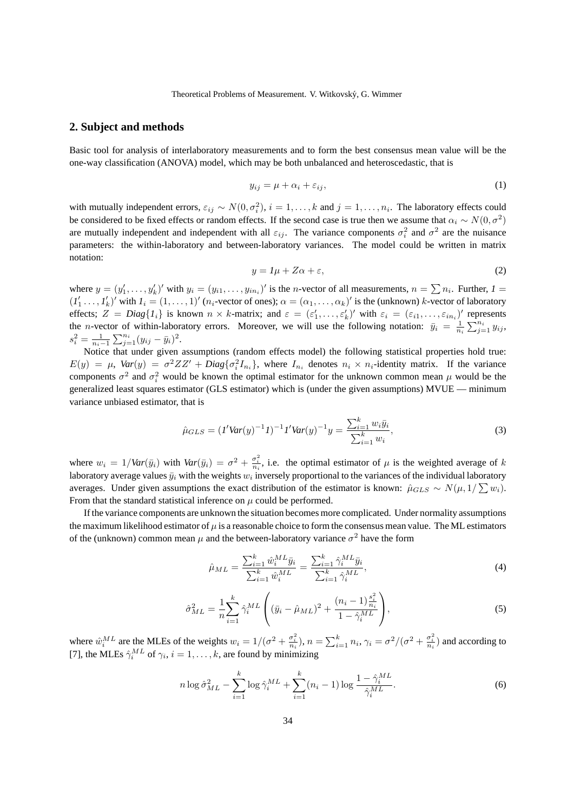### **2. Subject and methods**

Basic tool for analysis of interlaboratory measurements and to form the best consensus mean value will be the one-way classification (ANOVA) model, which may be both unbalanced and heteroscedastic, that is

$$
y_{ij} = \mu + \alpha_i + \varepsilon_{ij},\tag{1}
$$

with mutually independent errors,  $\varepsilon_{ij} \sim N(0, \sigma_i^2)$ ,  $i = 1, \ldots, k$  and  $j = 1, \ldots, n_i$ . The laboratory effects could be considered to be fixed effects or random effects. If the second case is true then we assume that  $\alpha_i \sim N(0, \sigma^2)$ are mutually independent and independent with all  $\varepsilon_{ij}$ . The variance components  $\sigma_i^2$  and  $\sigma^2$  are the nuisance parameters: the within-laboratory and between-laboratory variances. The model could be written in matrix notation:

$$
y = l\mu + Z\alpha + \varepsilon,\tag{2}
$$

where  $y = (y'_1, \ldots, y'_k)'$  with  $y_i = (y_{i1}, \ldots, y_{in_i})'$  is the *n*-vector of all measurements,  $n = \sum n_i$ . Further,  $I =$  $(1)$ <sup> $($ </sup>  $\frac{1}{1} \ldots \frac{1}{n}$  $\chi_k'$ )' with  $I_i = (1, \ldots, 1)'$  ( $n_i$ -vector of ones);  $\alpha = (\alpha_1, \ldots, \alpha_k)'$  is the (unknown) k-vector of laboratory effects;  $Z = Diag\{I_i\}$  is known  $n \times k$ -matrix; and  $\varepsilon = (\varepsilon'_1, \dots, \varepsilon'_k)'$  with  $\varepsilon_i = (\varepsilon_{i1}, \dots, \varepsilon_{in_i})'$  represents the *n*-vector of within-laboratory errors. Moreover, we will use the following notation:  $\bar{y}_i = \frac{1}{n_i} \sum_{j=1}^{n_i} y_{ij}$ ,  $s_i^2 = \frac{1}{n_i-1} \sum_{j=1}^{n_i} (y_{ij} - \bar{y}_i)^2.$ 

Notice that under given assumptions (random effects model) the following statistical properties hold true:  $E(y) = \mu$ ,  $Var(y) = \sigma^2 ZZ' + Diag{\sigma_i^2 I_{n_i}}$ , where  $I_{n_i}$  denotes  $n_i \times n_i$ -identity matrix. If the variance components  $\sigma^2$  and  $\sigma_i^2$  would be known the optimal estimator for the unknown common mean  $\mu$  would be the generalized least squares estimator (GLS estimator) which is (under the given assumptions) MVUE — minimum variance unbiased estimator, that is

$$
\hat{\mu}_{GLS} = (I'Var(y)^{-1}I)^{-1}I'Var(y)^{-1}y = \frac{\sum_{i=1}^{k} w_i \bar{y}_i}{\sum_{i=1}^{k} w_i},\tag{3}
$$

where  $w_i = 1 / Var(\bar{y}_i)$  with  $Var(\bar{y}_i) = \sigma^2 + \frac{\sigma_i^2}{n_i}$ , i.e. the optimal estimator of  $\mu$  is the weighted average of k laboratory average values  $\bar{y}_i$  with the weights  $w_i$  inversely proportional to the variances of the individual laboratory averages. Under given assumptions the exact distribution of the estimator is known:  $\hat{\mu}_{GLS} \sim N(\mu, 1/\sum w_i)$ . From that the standard statistical inference on  $\mu$  could be performed.

If the variance components are unknown the situation becomes more complicated. Under normality assumptions the maximum likelihood estimator of  $\mu$  is a reasonable choice to form the consensus mean value. The ML estimators of the (unknown) common mean  $\mu$  and the between-laboratory variance  $\sigma^2$  have the form

$$
\hat{\mu}_{ML} = \frac{\sum_{i=1}^{k} \hat{w}_i^{ML} \bar{y}_i}{\sum_{i=1}^{k} \hat{w}_i^{ML}} = \frac{\sum_{i=1}^{k} \hat{\gamma}_i^{ML} \bar{y}_i}{\sum_{i=1}^{k} \hat{\gamma}_i^{ML}},
$$
\n(4)

$$
\hat{\sigma}_{ML}^2 = \frac{1}{n} \sum_{i=1}^k \hat{\gamma}_i^{ML} \left( (\bar{y}_i - \hat{\mu}_{ML})^2 + \frac{(n_i - 1)\frac{s_i^2}{n_i}}{1 - \hat{\gamma}_i^{ML}} \right),\tag{5}
$$

where  $\hat{w}_i^{ML}$  are the MLEs of the weights  $w_i = 1/(\sigma^2 + \frac{\sigma_i^2}{n_i}), n = \sum_{i=1}^k n_i, \gamma_i = \frac{\sigma^2}{(\sigma^2 + \frac{\sigma_i^2}{n_i})}$  and according to [7], the MLEs  $\hat{\gamma}_i^{ML}$  of  $\gamma_i$ ,  $i = 1, \dots, k$ , are found by minimizing

$$
n \log \hat{\sigma}_{ML}^2 - \sum_{i=1}^k \log \hat{\gamma}_i^{ML} + \sum_{i=1}^k (n_i - 1) \log \frac{1 - \hat{\gamma}_i^{ML}}{\hat{\gamma}_i^{ML}}.
$$
 (6)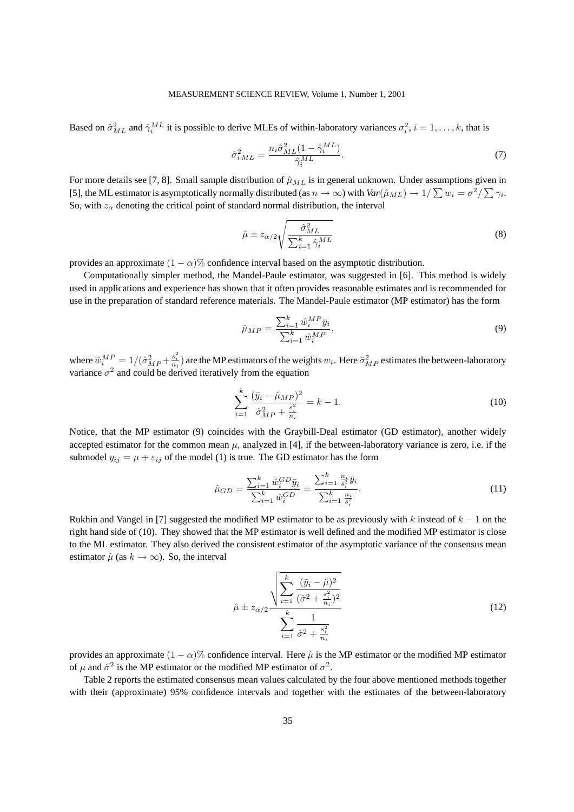### MEASUREMENT SCIENCE REVIEW, Volume 1, Number 1, 2001

Based on  $\hat{\sigma}_{ML}^2$  and  $\hat{\gamma}_i^{ML}$  it is possible to derive MLEs of within-laboratory variances  $\sigma_i^2$ ,  $i = 1, \dots, k$ , that is

$$
\hat{\sigma}_{iML}^2 = \frac{n_i \hat{\sigma}_{ML}^2 (1 - \hat{\gamma}_i^{ML})}{\hat{\gamma}_i^{ML}}.
$$
\n(7)

For more details see [7, 8]. Small sample distribution of  $\hat{\mu}_{ML}$  is in general unknown. Under assumptions given in [5], the ML estimator is asymptotically normally distributed (as  $n \to \infty$ ) with  $Var(\hat{\mu}_{ML}) \to 1/\sum w_i = \sigma^2/\sum \gamma_i$ . So, with  $z_\alpha$  denoting the critical point of standard normal distribution, the interval

$$
\hat{\mu} \pm z_{\alpha/2} \sqrt{\frac{\hat{\sigma}_{ML}^2}{\sum_{i=1}^k \hat{\gamma}_i^{ML}}}
$$
\n(8)

provides an approximate  $(1 - \alpha)$ % confidence interval based on the asymptotic distribution.

Computationally simpler method, the Mandel-Paule estimator, was suggested in [6]. This method is widely used in applications and experience has shown that it often provides reasonable estimates and is recommended for use in the preparation of standard reference materials. The Mandel-Paule estimator (MP estimator) has the form

$$
\hat{\mu}_{MP} = \frac{\sum_{i=1}^{k} \hat{w}_i^{MP} \bar{y}_i}{\sum_{i=1}^{k} \hat{w}_i^{MP}},
$$
\n(9)

where  $\hat{w}_i^{MP} = 1/(\hat{\sigma}_{MP}^2 + \frac{s_i^2}{n_i})$  are the MP estimators of the weights  $w_i$ . Here  $\hat{\sigma}_{MP}^2$  estimates the between-laboratory variance  $\sigma^2$  and could be derived iteratively from the equation

$$
\sum_{i=1}^{k} \frac{(\bar{y}_i - \hat{\mu}_{MP})^2}{\hat{\sigma}_{MP}^2 + \frac{s_i^2}{n_i}} = k - 1.
$$
\n(10)

Notice, that the MP estimator (9) coincides with the Graybill-Deal estimator (GD estimator), another widely accepted estimator for the common mean  $\mu$ , analyzed in [4], if the between-laboratory variance is zero, i.e. if the submodel  $y_{ij} = \mu + \varepsilon_{ij}$  of the model (1) is true. The GD estimator has the form

$$
\hat{\mu}_{GD} = \frac{\sum_{i=1}^k \hat{w}_i^{GD} \bar{y}_i}{\sum_{i=1}^k \hat{w}_i^{GD}} = \frac{\sum_{i=1}^k \frac{n_i}{s_i^2} \bar{y}_i}{\sum_{i=1}^k \frac{n_i}{s_i^2}}.
$$
\n(11)

Rukhin and Vangel in [7] suggested the modified MP estimator to be as previously with k instead of  $k - 1$  on the right hand side of (10). They showed that the MP estimator is well defined and the modified MP estimator is close to the ML estimator. They also derived the consistent estimator of the asymptotic variance of the consensus mean estimator  $\hat{\mu}$  (as  $k \to \infty$ ). So, the interval

$$
\hat{\mu} \pm z_{\alpha/2} \frac{\sqrt{\sum_{i=1}^{k} \frac{(\bar{y}_i - \hat{\mu})^2}{(\hat{\sigma}^2 + \frac{s_i^2}{n_i})^2}}}{\sum_{i=1}^{k} \frac{1}{\hat{\sigma}^2 + \frac{s_i^2}{n_i}}}
$$
(12)

provides an approximate  $(1 - \alpha)$ % confidence interval. Here  $\hat{\mu}$  is the MP estimator or the modified MP estimator of  $\mu$  and  $\hat{\sigma}^2$  is the MP estimator or the modified MP estimator of  $\sigma^2$ .

Table 2 reports the estimated consensus mean values calculated by the four above mentioned methods together with their (approximate) 95% confidence intervals and together with the estimates of the between-laboratory